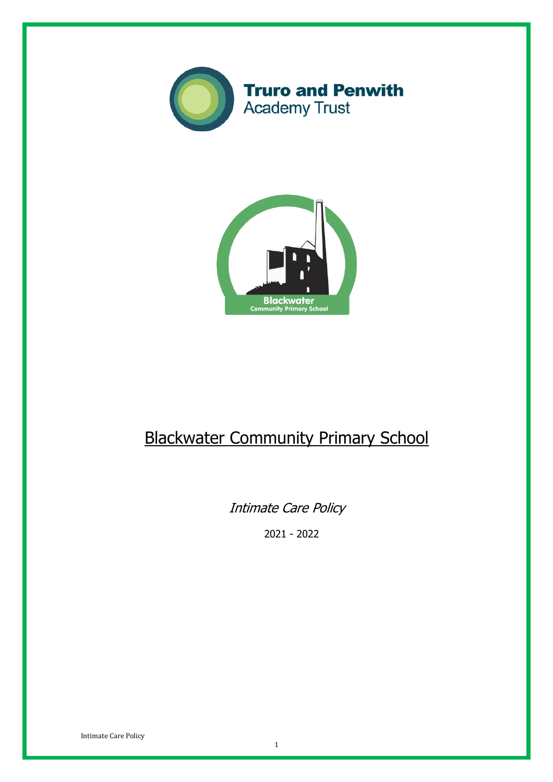



# Blackwater Community Primary School

Intimate Care Policy

2021 - 2022

Intimate Care Policy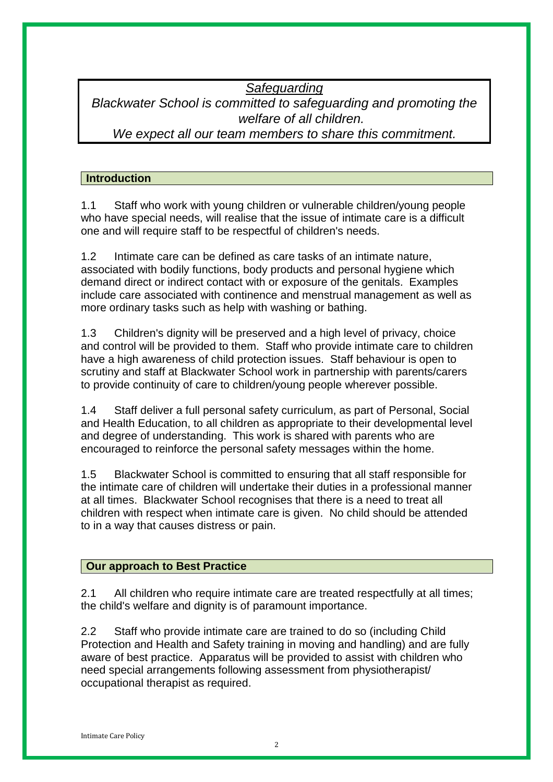### *Safeguarding Blackwater School is committed to safeguarding and promoting the welfare of all children. We expect all our team members to share this commitment.*

#### **Introduction**

1.1 Staff who work with young children or vulnerable children/young people who have special needs, will realise that the issue of intimate care is a difficult one and will require staff to be respectful of children's needs.

1.2 Intimate care can be defined as care tasks of an intimate nature, associated with bodily functions, body products and personal hygiene which demand direct or indirect contact with or exposure of the genitals. Examples include care associated with continence and menstrual management as well as more ordinary tasks such as help with washing or bathing.

1.3 Children's dignity will be preserved and a high level of privacy, choice and control will be provided to them. Staff who provide intimate care to children have a high awareness of child protection issues. Staff behaviour is open to scrutiny and staff at Blackwater School work in partnership with parents/carers to provide continuity of care to children/young people wherever possible.

1.4 Staff deliver a full personal safety curriculum, as part of Personal, Social and Health Education, to all children as appropriate to their developmental level and degree of understanding. This work is shared with parents who are encouraged to reinforce the personal safety messages within the home.

1.5 Blackwater School is committed to ensuring that all staff responsible for the intimate care of children will undertake their duties in a professional manner at all times. Blackwater School recognises that there is a need to treat all children with respect when intimate care is given. No child should be attended to in a way that causes distress or pain.

#### **Our approach to Best Practice**

2.1 All children who require intimate care are treated respectfully at all times; the child's welfare and dignity is of paramount importance.

2.2 Staff who provide intimate care are trained to do so (including Child Protection and Health and Safety training in moving and handling) and are fully aware of best practice. Apparatus will be provided to assist with children who need special arrangements following assessment from physiotherapist/ occupational therapist as required.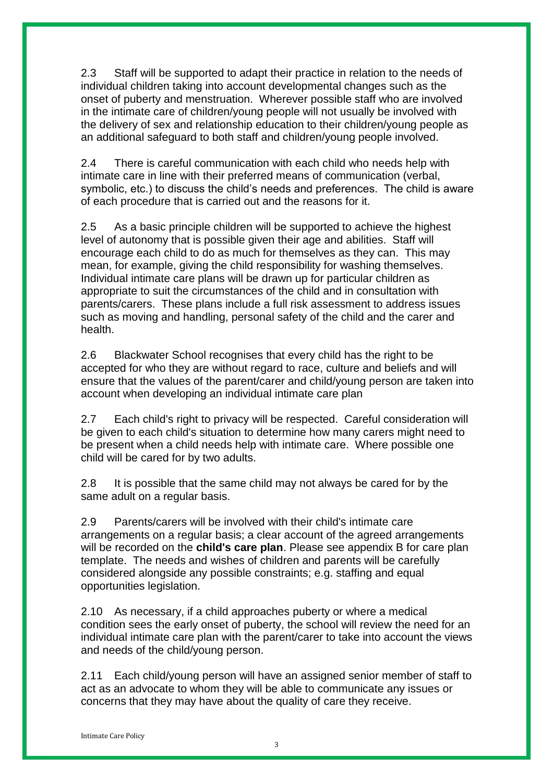2.3 Staff will be supported to adapt their practice in relation to the needs of individual children taking into account developmental changes such as the onset of puberty and menstruation. Wherever possible staff who are involved in the intimate care of children/young people will not usually be involved with the delivery of sex and relationship education to their children/young people as an additional safeguard to both staff and children/young people involved.

2.4 There is careful communication with each child who needs help with intimate care in line with their preferred means of communication (verbal, symbolic, etc.) to discuss the child's needs and preferences. The child is aware of each procedure that is carried out and the reasons for it.

2.5 As a basic principle children will be supported to achieve the highest level of autonomy that is possible given their age and abilities. Staff will encourage each child to do as much for themselves as they can. This may mean, for example, giving the child responsibility for washing themselves. Individual intimate care plans will be drawn up for particular children as appropriate to suit the circumstances of the child and in consultation with parents/carers. These plans include a full risk assessment to address issues such as moving and handling, personal safety of the child and the carer and health.

2.6 Blackwater School recognises that every child has the right to be accepted for who they are without regard to race, culture and beliefs and will ensure that the values of the parent/carer and child/young person are taken into account when developing an individual intimate care plan

2.7 Each child's right to privacy will be respected. Careful consideration will be given to each child's situation to determine how many carers might need to be present when a child needs help with intimate care. Where possible one child will be cared for by two adults.

2.8 It is possible that the same child may not always be cared for by the same adult on a regular basis.

2.9 Parents/carers will be involved with their child's intimate care arrangements on a regular basis; a clear account of the agreed arrangements will be recorded on the **child's care plan**. Please see appendix B for care plan template. The needs and wishes of children and parents will be carefully considered alongside any possible constraints; e.g. staffing and equal opportunities legislation.

2.10 As necessary, if a child approaches puberty or where a medical condition sees the early onset of puberty, the school will review the need for an individual intimate care plan with the parent/carer to take into account the views and needs of the child/young person.

2.11 Each child/young person will have an assigned senior member of staff to act as an advocate to whom they will be able to communicate any issues or concerns that they may have about the quality of care they receive.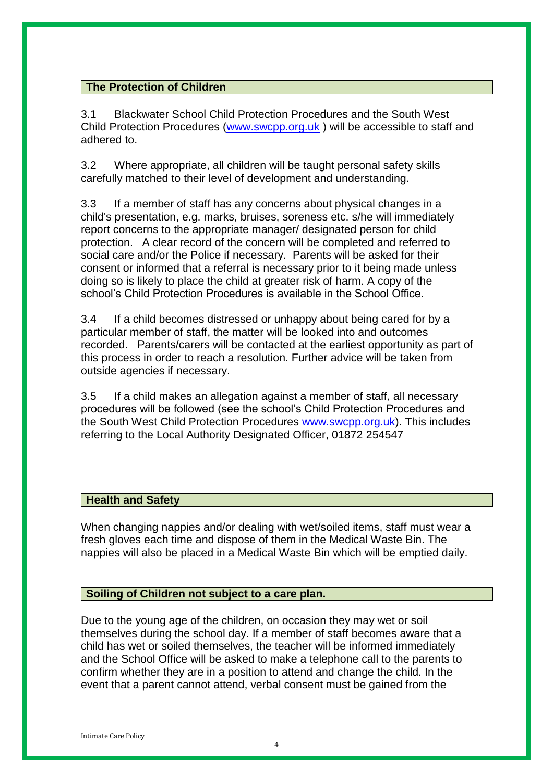#### **The Protection of Children**

3.1 Blackwater School Child Protection Procedures and the South West Child Protection Procedures (www.swcpp.org.uk ) will be accessible to staff and adhered to.

3.2 Where appropriate, all children will be taught personal safety skills carefully matched to their level of development and understanding.

3.3 If a member of staff has any concerns about physical changes in a child's presentation, e.g. marks, bruises, soreness etc. s/he will immediately report concerns to the appropriate manager/ designated person for child protection. A clear record of the concern will be completed and referred to social care and/or the Police if necessary. Parents will be asked for their consent or informed that a referral is necessary prior to it being made unless doing so is likely to place the child at greater risk of harm. A copy of the school's Child Protection Procedures is available in the School Office.

3.4 If a child becomes distressed or unhappy about being cared for by a particular member of staff, the matter will be looked into and outcomes recorded. Parents/carers will be contacted at the earliest opportunity as part of this process in order to reach a resolution. Further advice will be taken from outside agencies if necessary.

3.5 If a child makes an allegation against a member of staff, all necessary procedures will be followed (see the school's Child Protection Procedures and the South West Child Protection Procedures www.swcpp.org.uk). This includes referring to the Local Authority Designated Officer, 01872 254547

#### **Health and Safety**

When changing nappies and/or dealing with wet/soiled items, staff must wear a fresh gloves each time and dispose of them in the Medical Waste Bin. The nappies will also be placed in a Medical Waste Bin which will be emptied daily.

#### **Soiling of Children not subject to a care plan.**

Due to the young age of the children, on occasion they may wet or soil themselves during the school day. If a member of staff becomes aware that a child has wet or soiled themselves, the teacher will be informed immediately and the School Office will be asked to make a telephone call to the parents to confirm whether they are in a position to attend and change the child. In the event that a parent cannot attend, verbal consent must be gained from the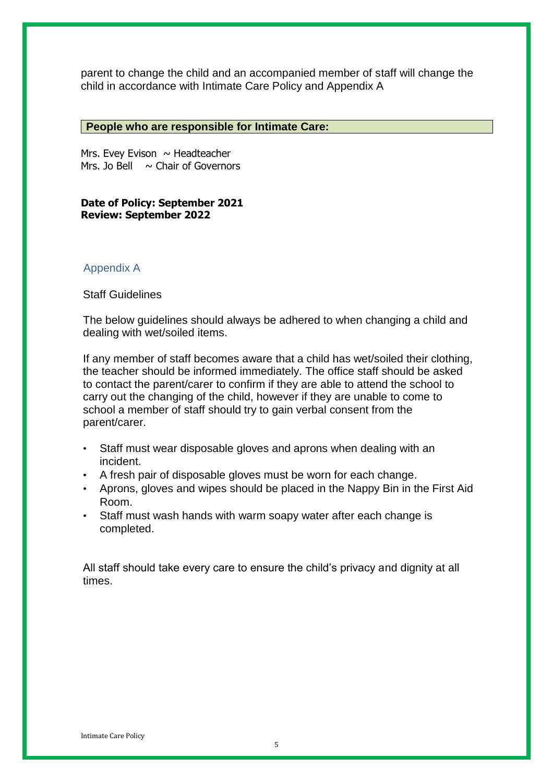parent to change the child and an accompanied member of staff will change the child in accordance with Intimate Care Policy and Appendix A

#### **People who are responsible for Intimate Care:**

Mrs. Evey Evison  $\sim$  Headteacher Mrs. Jo Bell  $\sim$  Chair of Governors

#### **Date of Policy: September 2021 Review: September 2022**

#### Appendix A

Staff Guidelines

The below guidelines should always be adhered to when changing a child and dealing with wet/soiled items.

If any member of staff becomes aware that a child has wet/soiled their clothing, the teacher should be informed immediately. The office staff should be asked to contact the parent/carer to confirm if they are able to attend the school to carry out the changing of the child, however if they are unable to come to school a member of staff should try to gain verbal consent from the parent/carer.

- Staff must wear disposable gloves and aprons when dealing with an incident.
- A fresh pair of disposable gloves must be worn for each change.
- Aprons, gloves and wipes should be placed in the Nappy Bin in the First Aid Room.
- Staff must wash hands with warm soapy water after each change is completed.

All staff should take every care to ensure the child's privacy and dignity at all times.